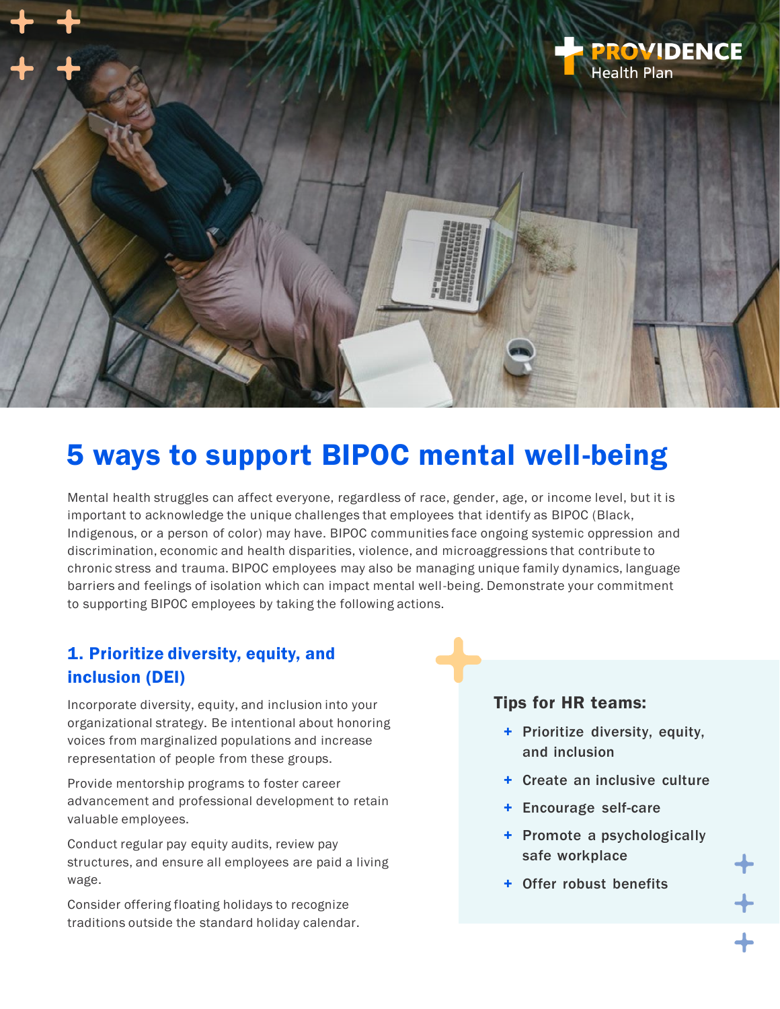

# 5 ways to support BIPOC mental well-being

Mental health struggles can affect everyone, regardless of race, gender, age, or income level, but it is important to acknowledge the unique challenges that employees that identify as BIPOC (Black, Indigenous, or a person of color) may have. BIPOC communities face ongoing systemic oppression and discrimination, economic and health disparities, violence, and microaggressions that contribute to chronic stress and trauma. BIPOC employees may also be managing unique family dynamics, language barriers and feelings of isolation which can impact mental well-being. Demonstrate your commitment to supporting BIPOC employees by taking the following actions.

## 1. Prioritize diversity, equity, and inclusion (DEI)

Incorporate diversity, equity, and inclusion into your organizational strategy. Be intentional about honoring voices from marginalized populations and increase representation of people from these groups.

Provide mentorship programs to foster career advancement and professional development to retain valuable employees.

Conduct regular pay equity audits, review pay structures, and ensure all employees are paid a living wage.

Consider offering floating holidays to recognize traditions outside the standard holiday calendar.

#### Tips for HR teams:

- + Prioritize diversity, equity, and inclusion
- + Create an inclusive culture
- + Encourage self-care
- + Promote a psychologically safe workplace
- + Offer robust benefits